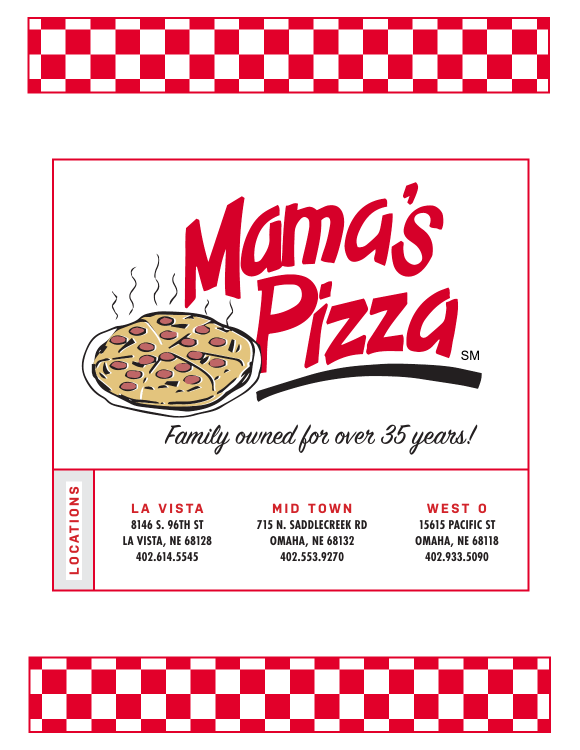



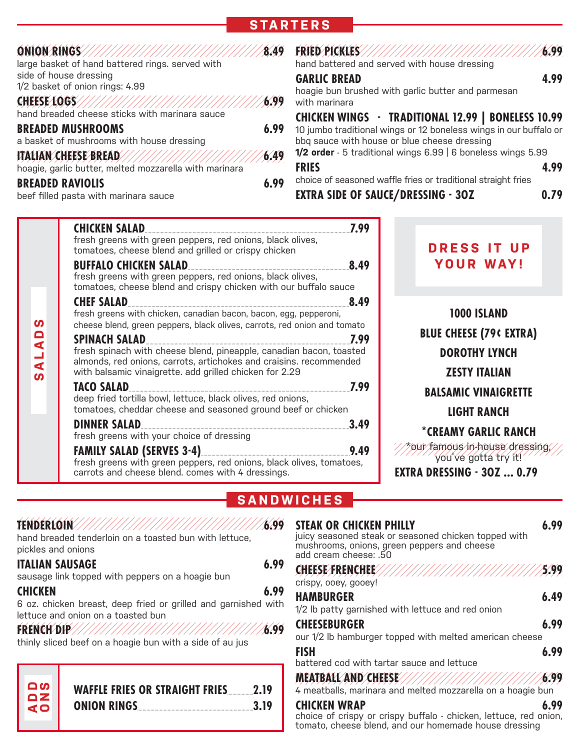# **STARTERS**

#### **ONION RINGS 8.49**

large basket of hand battered rings. served with side of house dressing 1/2 basket of onion rings: 4.99

#### **CHEESE LOGS 6.99** hand breaded cheese sticks with marinara sauce **BREADED MUSHROOMS 6.99** a basket of mushrooms with house dressing **ITALIAN CHEESE BREAD 6.49** hoagie, garlic butter, melted mozzarella with marinara

#### **BREADED RAVIOLIS 6.99**

beef filled pasta with marinara sauce

#### **FRIED PICKLES 6.99**

hand battered and served with house dressing

#### **GARLIC BREAD 4.99**

hoagie bun brushed with garlic butter and parmesan with marinara

### **CHICKEN WINGS TRADITIONAL 12.99 | BONELESS 10.99**

10 jumbo traditional wings or 12 boneless wings in our buffalo or bbq sauce with house or blue cheese dressing **1/2 order** - 5 traditional wings 6.99 | 6 boneless wings 5.99

- **FRIES 4.99**
	-

choice of seasoned waffle fries or traditional straight fries

**EXTRA SIDE OF SAUCE/DRESSING 3OZ 0.79**

| <b>CHICKEN SALAD</b><br>7.99                                                                                                                                                                         |
|------------------------------------------------------------------------------------------------------------------------------------------------------------------------------------------------------|
| fresh greens with green peppers, red onions, black olives,<br>tomatoes, cheese blend and grilled or crispy chicken                                                                                   |
| <b>BUFFALO CHICKEN SALAD</b><br>8.49                                                                                                                                                                 |
| fresh greens with green peppers, red onions, black olives,<br>tomatoes, cheese blend and crispy chicken with our buffalo sauce                                                                       |
| <b>CHEF SALAD</b><br>8.49                                                                                                                                                                            |
| fresh greens with chicken, canadian bacon, bacon, egg, pepperoni,<br>cheese blend, green peppers, black olives, carrots, red onion and tomato                                                        |
| <b>SPINACH SALAD</b><br>7.99                                                                                                                                                                         |
| fresh spinach with cheese blend, pineapple, canadian bacon, toasted<br>almonds, red onions, carrots, artichokes and craisins. recommended<br>with balsamic vinaigrette. add grilled chicken for 2.29 |
| <b>TACO SALAD</b><br>7.99                                                                                                                                                                            |
| deep fried tortilla bowl, lettuce, black olives, red onions,<br>tomatoes, cheddar cheese and seasoned ground beef or chicken                                                                         |
| <b>DINNER SALAD</b><br>3.49                                                                                                                                                                          |
| fresh greens with your choice of dressing                                                                                                                                                            |
| <b>FAMILY SALAD (SERVES 3-4)</b><br>9.49<br>fresh greens with green peppers, red onions, black olives, tomatoes,<br>carrots and cheese blend. comes with 4 dressings.                                |

**DRESS IT UP YOUR WAY!**

**1000 ISLAND BLUE CHEESE (79¢ EXTRA) DOROTHY LYNCH ZESTY ITALIAN BALSAMIC VINAIGRETTE LIGHT RANCH**

# **\*CREAMY GARLIC RANCH**

\*our famous in-house dressing, you've gotta try it!

**EXTRA DRESSING 3OZ ... 0.79**

# **SANDWICHES**

| pickles and onions     | hand breaded tenderloin on a toasted bun with lettuce,                                               | 6.99 | <b>STEAK OR CHICKEN PHILLY</b><br>juicy seasoned steak or seasoned chicken topped with<br>mushrooms, onions, green peppers and cheese<br>add cream cheese: .50 | 6.99 |
|------------------------|------------------------------------------------------------------------------------------------------|------|----------------------------------------------------------------------------------------------------------------------------------------------------------------|------|
| <b>ITALIAN SAUSAGE</b> | sausage link topped with peppers on a hoagie bun                                                     | 6.99 | crispy, ooey, gooey!                                                                                                                                           |      |
| <b>CHICKEN</b>         | 6 oz. chicken breast, deep fried or grilled and garnished with<br>lettuce and onion on a toasted bun | 6.99 | <b>HAMBURGER</b><br>1/2 lb patty garnished with lettuce and red onion                                                                                          | 6.49 |
|                        | thinly sliced beef on a hoagie bun with a side of au jus                                             |      | <b>CHEESEBURGER</b><br>our 1/2 lb hamburger topped with melted american cheese                                                                                 | 6.99 |
|                        |                                                                                                      |      | <b>FISH</b><br>battered cod with tartar sauce and lettuce                                                                                                      | 6.99 |
| ျပာ                    | <b>WAFFLE FRIES OR STRAIGHT FRIES</b><br>2.19                                                        |      | MEATBALLAND/CHEESE///////////////////////////<br>4 meatballs, marinara and melted mozzarella on a hoagie bun                                                   | 6.99 |
| $\mathbf{Z}$<br>Φ      | ONION RINGS<br>3.19                                                                                  |      | <b>CHICKEN WRAP</b>                                                                                                                                            | 6.99 |

choice of crispy or crispy buffalo - chicken, lettuce, red onion, tomato, cheese blend, and our homemade house dressing

**SALADS**

ഗ

ALADS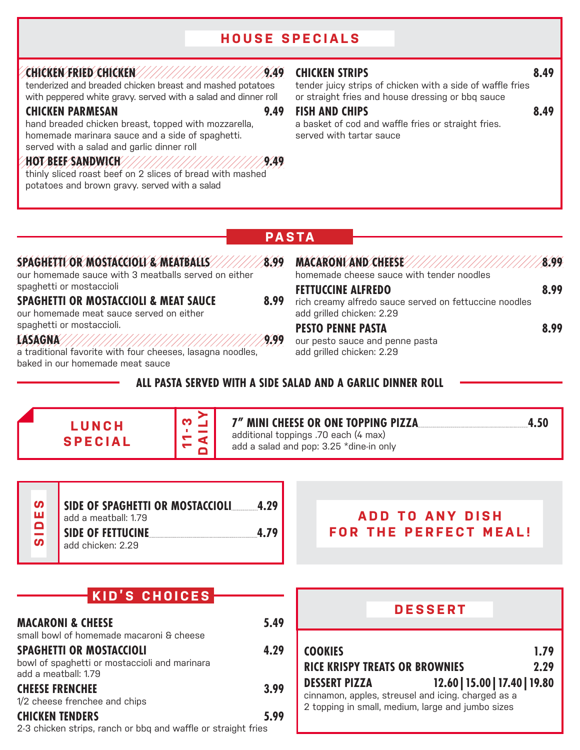# **HOUSE SPECIALS**

#### **CHICKEN FRIED CHICKEN 9.49**

tenderized and breaded chicken breast and mashed potatoes with peppered white gravy. served with a salad and dinner roll

#### **CHICKEN PARMESAN 9.49**

hand breaded chicken breast, topped with mozzarella, homemade marinara sauce and a side of spaghetti. served with a salad and garlic dinner roll

#### **HOT BEEF SANDWICH 9.49**

thinly sliced roast beef on 2 slices of bread with mashed potatoes and brown gravy. served with a salad

#### **CHICKEN STRIPS 8.49**

tender juicy strips of chicken with a side of waffle fries or straight fries and house dressing or bbq sauce

#### **FISH AND CHIPS 8.49**

a basket of cod and waffle fries or straight fries. served with tartar sauce

## **PASTA**

#### **SPAGHETTI OR MOSTACCIOLI & MEATBALLS 8.99**

our homemade sauce with 3 meatballs served on either spaghetti or mostaccioli

#### **SPAGHETTI OR MOSTACCIOLI & MEAT SAUCE 8.99**

our homemade meat sauce served on either spaghetti or mostaccioli.

**LASAGNA 9.99** a traditional favorite with four cheeses, lasagna noodles, baked in our homemade meat sauce

|                                                                                          | 8.99 |
|------------------------------------------------------------------------------------------|------|
| homemade cheese sauce with tender noodles                                                |      |
| <b>FETTUCCINE ALFREDO</b>                                                                | 8.99 |
| rich creamy alfredo sauce served on fettuccine noodles<br>add grilled chicken: 2.29      |      |
| <b>PESTO PENNE PASTA</b><br>our pesto sauce and penne pasta<br>add grilled chicken: 2.29 | 8.99 |

### **ALL PASTA SERVED WITH A SIDE SALAD AND A GARLIC DINNER ROLL**





#### **7" MINI CHEESE OR ONE TOPPING PIZZA 4.50** additional toppings .70 each (4 max)

add a salad and pop: 3.25 \*dine-in only

**SIDE OF SPAGHETTI OR MOSTACCIOLI 4.29** add a meatball: 1.79 **SIDE OF FETTUCINE 4.79** add chicken: 2.29 **SIDES**

# **ADD TO ANY DISH FOR THE PERFECT MEAL!**

| KID'S CHOICES:                                                                                           | <b>DESSERT</b> |                                                                                                                                                                  |
|----------------------------------------------------------------------------------------------------------|----------------|------------------------------------------------------------------------------------------------------------------------------------------------------------------|
| <b>MACARONI &amp; CHEESE</b><br>small bowl of homemade macaroni & cheese                                 | 5.49           |                                                                                                                                                                  |
| <b>SPAGHETTI OR MOSTACCIOLI</b><br>bowl of spaghetti or mostaccioli and marinara<br>add a meatball: 1.79 | 4.29           | <b>COOKIES</b><br>1.79<br><b>RICE KRISPY TREATS OR BROWNIES</b><br>2.29                                                                                          |
| <b>CHEESE FRENCHEE</b><br>1/2 cheese frenchee and chips                                                  | 3.99           | 12.60   15.00   17.40   19.80<br><b>DESSERT PIZZA</b><br>cinnamon, apples, streusel and icing. charged as a<br>2 topping in small, medium, large and jumbo sizes |
| <b>CHICKEN TENDERS</b><br>2-3 chicken strips, ranch or bbq and waffle or straight fries                  | 5.99           |                                                                                                                                                                  |